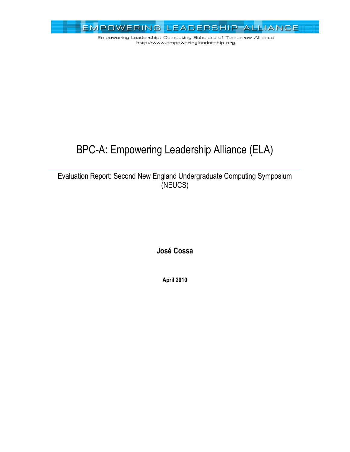

# BPC-A: Empowering Leadership Alliance (ELA)

Evaluation Report: Second New England Undergraduate Computing Symposium (NEUCS)

**José Cossa**

**April 2010**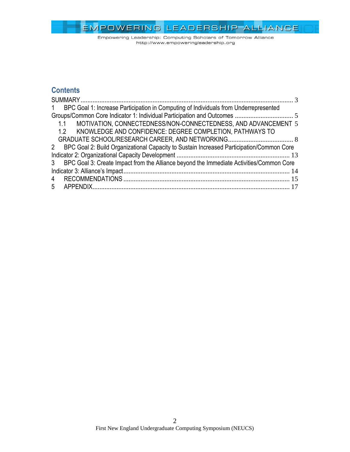Empowering Leadership: Computing Scholars of Tomorrow Alliance http://www.empoweringleadership.org

## **Contents**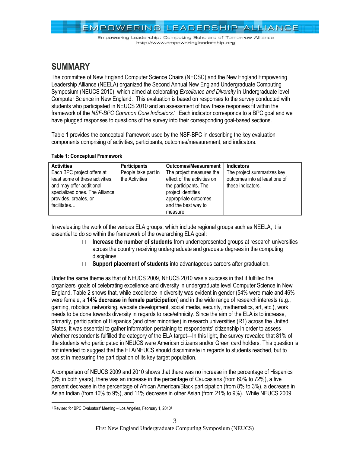Empowering Leadership: Computing Scholars of Tomorrow Alliance http://www.empoweringleadership.org

## <span id="page-2-0"></span>**SUMMARY**

The committee of New England Computer Science Chairs (NECSC) and the New England Empowering Leadership Alliance (NEELA) organized the Second Annual New England Undergraduate Computing Symposium (NEUCS 2010), which aimed at celebrating *Excellence and Diversity* in Undergraduate level Computer Science in New England. This evaluation is based on responses to the survey conducted with students who participated in NEUCS 2010 and an assessment of how these responses fit within the framework of the *NSF-BPC Common Core Indicators*. 1 Each indicator corresponds to a BPC goal and we have plugged responses to questions of the survey into their corresponding goal-based sections.

[Table 1](#page-2-1) provides the conceptual framework used by the NSF-BPC in describing the key evaluation components comprising of activities, participants, outcomes/measurement, and indicators.

| <b>Activities</b>                                                                                                                                                   | <b>Participants</b>                   | Outcomes/Measurement                                                                                                                                  | Indicators                                                                       |
|---------------------------------------------------------------------------------------------------------------------------------------------------------------------|---------------------------------------|-------------------------------------------------------------------------------------------------------------------------------------------------------|----------------------------------------------------------------------------------|
| Each BPC project offers at<br>least some of these activities,<br>and may offer additional<br>specialized ones. The Alliance<br>provides, creates, or<br>facilitates | People take part in<br>the Activities | The project measures the<br>effect of the activities on<br>the participants. The<br>project identifies<br>appropriate outcomes<br>and the best way to | The project summarizes key<br>outcomes into at least one of<br>these indicators. |
|                                                                                                                                                                     |                                       | measure.                                                                                                                                              |                                                                                  |

#### <span id="page-2-1"></span>**Table 1: Conceptual Framework**

In evaluating the work of the various ELA groups, which include regional groups such as NEELA, it is essential to do so within the framework of the overarching ELA goal:

- **Increase the number of students** from underrepresented groups at research universities across the country receiving undergraduate and graduate degrees in the computing disciplines.
- $\Box$ **Support placement of students** into advantageous careers after graduation.

Under the same theme as that of NEUCS 2009, NEUCS 2010 was a success in that it fulfilled the organizers' goals of celebrating excellence and diversity in undergraduate level Computer Science in New England. [Table 2](#page-3-0) shows that, while excellence in diversity was evident in gender (54% were male and 46% were female, a **14% decrease in female participation**) and in the wide range of research interests (e.g., gaming, robotics, networking, website development, social media, security, mathematics, art, etc.), work needs to be done towards diversity in regards to race/ethnicity. Since the aim of the ELA is to increase, primarily, participation of Hispanics (and other minorities) in research universities (R1) across the United States, it was essential to gather information pertaining to respondents' citizenship in order to assess whether respondents fulfilled the category of the ELA target—In this light, the survey revealed that 81% of the students who participated in NEUCS were American citizens and/or Green card holders. This question is not intended to suggest that the ELA/NEUCS should discriminate in regards to students reached, but to assist in measuring the participation of its key target population.

A comparison of NEUCS 2009 and 2010 shows that there was no increase in the percentage of Hispanics (3% in both years), there was an increase in the percentage of Caucasians (from 60% to 72%), a five percent decrease in the percentage of African American/Black participation (from 8% to 3%), a decrease in Asian Indian (from 10% to 9%), and 11% decrease in other Asian (from 21% to 9%). While NEUCS 2009

 $\overline{a}$ <sup>1</sup> Revised for BPC Evaluators' Meeting – Los Angeles, February 1, 2010<sup>1</sup>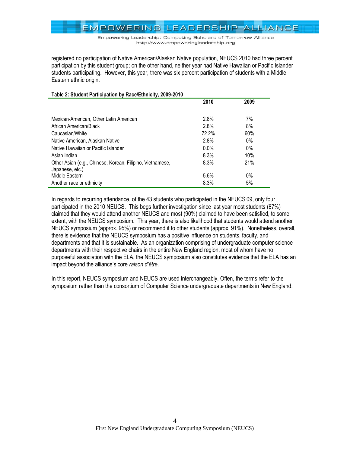Empowering Leadership: Computing Scholars of Tomorrow Alliance http://www.empoweringleadership.org

registered no participation of Native American/Alaskan Native population, NEUCS 2010 had three percent participation by this student group; on the other hand, neither year had Native Hawaiian or Pacific Islander students participating. However, this year, there was six percent participation of students with a Middle Eastern ethnic origin.

|                                                                              | 2010    | 2009  |  |
|------------------------------------------------------------------------------|---------|-------|--|
|                                                                              |         |       |  |
| Mexican-American, Other Latin American                                       | 2.8%    | 7%    |  |
| African American/Black                                                       | 2.8%    | 8%    |  |
| Caucasian/White                                                              | 72.2%   | 60%   |  |
| Native American, Alaskan Native                                              | 2.8%    | $0\%$ |  |
| Native Hawaiian or Pacific Islander                                          | $0.0\%$ | $0\%$ |  |
| Asian Indian                                                                 | 8.3%    | 10%   |  |
| Other Asian (e.g., Chinese, Korean, Filipino, Vietnamese,<br>Japanese, etc.) | 8.3%    | 21%   |  |
| Middle Eastern                                                               | 5.6%    | $0\%$ |  |
| Another race or ethnicity                                                    | 8.3%    | 5%    |  |

<span id="page-3-0"></span>**Table 2: Student Participation by Race/Ethnicity, 2009-2010**

In regards to recurring attendance, of the 43 students who participated in the NEUCS'09, only four participated in the 2010 NEUCS. This begs further investigation since last year most students (87%) claimed that they would attend another NEUCS and most (90%) claimed to have been satisfied, to some extent, with the NEUCS symposium. This year, there is also likelihood that students would attend another NEUCS symposium (approx. 95%) or recommend it to other students (approx. 91%). Nonetheless, overall, there is evidence that the NEUCS symposium has a positive influence on students, faculty, and departments and that it is sustainable. As an organization comprising of undergraduate computer science departments with their respective chairs in the entire New England region, most of whom have no purposeful association with the ELA, the NEUCS symposium also constitutes evidence that the ELA has an impact beyond the alliance's core *raison d'être*.

In this report, NEUCS symposium and NEUCS are used interchangeably. Often, the terms refer to the symposium rather than the consortium of Computer Science undergraduate departments in New England.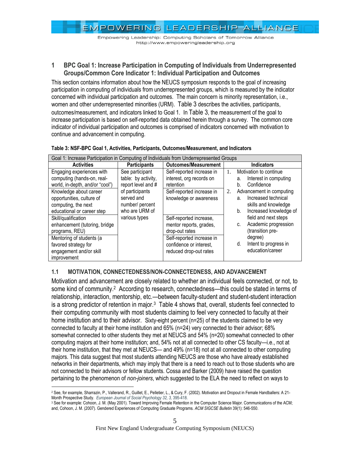Empowering Leadership: Computing Scholars of Tomorrow Alliance http://www.empoweringleadership.org

#### <span id="page-4-0"></span>**1 BPC Goal 1: Increase Participation in Computing of Individuals from Underrepresented Groups/Common Core Indicator 1: Individual Participation and Outcomes**

This section contains information about how the NEUCS symposium responds to the goal of increasing participation in computing of individuals from underrepresented groups, which is measured by the indicator concerned with individual participation and outcomes. The main concern is minority representation, i.e., women and other underrepresented minorities (URM). [Table 3](#page-4-2) describes the activities, participants, outcomes/measurement, and indicators linked to Goal 1. In [Table 3](#page-4-2), the measurement of the goal to increase participation is based on self-reported data obtained herein through a survey. The common core indicator of individual participation and outcomes is comprised of indicators concerned with motivation to continue and advancement in computing.

| Goal 1: Increase Participation in Computing of Individuals from Underrepresented Groups                              |                                                                                 |                                                                                                 |                                                                                                                            |  |  |  |  |  |  |
|----------------------------------------------------------------------------------------------------------------------|---------------------------------------------------------------------------------|-------------------------------------------------------------------------------------------------|----------------------------------------------------------------------------------------------------------------------------|--|--|--|--|--|--|
| <b>Activities</b>                                                                                                    | <b>Participants</b>                                                             | <b>Outcomes/Measurement</b>                                                                     | <b>Indicators</b>                                                                                                          |  |  |  |  |  |  |
| Engaging experiences with<br>computing (hands-on, real-<br>world, in-depth, and/or "cool")<br>Knowledge about career | See participant<br>table: by activity,<br>report level and #<br>of participants | Self-reported increase in<br>interest, org records on<br>retention<br>Self-reported increase in | Motivation to continue<br>$1_{\cdot}$<br>Interest in computing<br>a.<br>Confidence<br>b.<br>Advancement in computing<br>2. |  |  |  |  |  |  |
| opportunities, culture of<br>computing, the next<br>educational or career step                                       | served and<br>number/ percent<br>who are URM of                                 | knowledge or awareness                                                                          | Increased technical<br>a.<br>skills and knowledge<br>Increased knowledge of<br>b.                                          |  |  |  |  |  |  |
| Skill/qualification<br>enhancement (tutoring, bridge<br>programs, REU)                                               | various types                                                                   | Self-reported increase,<br>mentor reports, grades,<br>drop-out rates                            | field and next steps<br>Academic progression<br>C.<br>(transition pre-                                                     |  |  |  |  |  |  |
| Mentoring of students (a<br>favored strategy for<br>engagement and/or skill<br>improvement                           |                                                                                 | Self-reported increase in<br>confidence or interest,<br>reduced drop-out rates                  | degree)<br>Intent to progress in<br>d.<br>education/career                                                                 |  |  |  |  |  |  |

#### <span id="page-4-2"></span>**Table 3: NSF-BPC Goal 1, Activities, Participants, Outcomes/Measurement, and Indicators**

#### <span id="page-4-1"></span>**1.1 MOTIVATION, CONNECTEDNESS/NON-CONNECTEDNESS, AND ADVANCEMENT**

Motivation and advancement are closely related to whether an individual feels connected, or not, to some kind of community.<sup>2</sup> According to research, connectedness—this could be stated in terms of relationship, interaction, mentorship, etc.—between faculty-student and student-student interaction is a strong predictor of retention in major. $3$  [Table 4](#page-5-0) shows that, overall, students feel connected to their computing community with most students claiming to feel very connected to faculty at their home institution and to their advisor. Sixty-eight percent (n=25) of the students claimed to be very connected to faculty at their home institution and 65% (n=24) very connected to their advisor; 68% somewhat connected to other students they met at NEUCS and 54% (n=20) somewhat connected to other computing majors at their home institution; and, 54% not at all connected to other CS faculty—i.e., not at their home institution, that they met at NEUCS— and 49% (n=18) not at all connected to other computing majors. This data suggest that most students attending NEUCS are those who have already established networks in their departments, which may imply that there is a need to reach out to those students who are not connected to their advisors or fellow students. Cossa and Barker (2009) have raised the question pertaining to the phenomenon of *non-joiners*, which suggested to the ELA the need to reflect on ways to

 $\overline{a}$ 

<sup>2</sup> See, for example, Sharrazin, P., Vallerand, R., Guillet, E., Pelletier, L., & Cury, F. (2002). Motivation and Dropout in Female Handballers: A 21- Month Prospective Study. *European Journal of Social Psychology 32, 3,* 395-418.

<sup>&</sup>lt;sup>3</sup> See for example: Cohoon, J. M. (May 2001). Toward Improving Female Retention in the Computer Science Major. Communications of the ACM; and, Cohoon, J. M. (2007). Gendered Experiences of Computing Graduate Programs. *ACM SIGCSE Bulletin* 39(1): 546-550.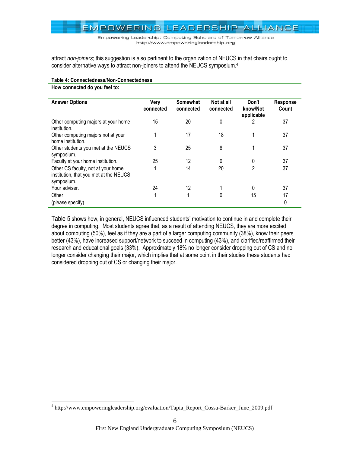

attract *non-joiners*; this suggestion is also pertinent to the organization of NEUCS in that chairs ought to consider alternative ways to attract non-joiners to attend the NEUCS symposium.<sup>4</sup>

| <b>Answer Options</b>                                                                      | <b>Very</b><br>connected | <b>Somewhat</b><br>connected | Not at all<br>connected | Don't<br>know/Not<br>applicable | <b>Response</b><br>Count |
|--------------------------------------------------------------------------------------------|--------------------------|------------------------------|-------------------------|---------------------------------|--------------------------|
| Other computing majors at your home<br>institution.                                        | 15                       | 20                           | 0                       |                                 | 37                       |
| Other computing majors not at your<br>home institution.                                    |                          | 17                           | 18                      |                                 | 37                       |
| Other students you met at the NEUCS<br>symposium.                                          | 3                        | 25                           | 8                       |                                 | 37                       |
| Faculty at your home institution.                                                          | 25                       | 12                           | 0                       | 0                               | 37                       |
| Other CS faculty, not at your home<br>institution, that you met at the NEUCS<br>symposium. |                          | 14                           | 20                      | 2                               | 37                       |
| Your adviser.                                                                              | 24                       | 12                           |                         | 0                               | 37                       |
| Other                                                                                      | 4                        | 4                            | 0                       | 15                              | 17                       |
| (please specify)                                                                           |                          |                              |                         |                                 | 0                        |

#### <span id="page-5-0"></span>**Table 4: Connectedness/Non-Connectedness**

**How connected do you feel to:**

 $\overline{a}$ 

[Table 5](#page-6-0) shows how, in general, NEUCS influenced students' motivation to continue in and complete their degree in computing. Most students agree that, as a result of attending NEUCS, they are more excited about computing (50%), feel as if they are a part of a larger computing community (38%), know their peers better (43%), have increased support/network to succeed in computing (43%), and clarified/reaffirmed their research and educational goals (33%). Approximately 18% no longer consider dropping out of CS and no longer consider changing their major, which implies that at some point in their studies these students had considered dropping out of CS or changing their major.

<sup>&</sup>lt;sup>4</sup> http://www.empoweringleadership.org/evaluation/Tapia\_Report\_Cossa-Barker\_June\_2009.pdf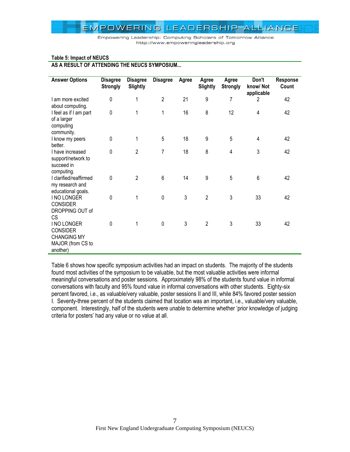#### <span id="page-6-0"></span>**Table 5: Impact of NEUCS AS A RESULT OF ATTENDING THE NEUCS SYMPOSIUM...**

| <b>Answer Options</b>                                                                        | <b>Disagree</b><br><b>Strongly</b> | <b>Disagree</b><br><b>Slightly</b> | <b>Disagree</b> | Agree | Agree<br>Slightly | Agree<br><b>Strongly</b> | Don't<br>know/Not<br>applicable | <b>Response</b><br>Count |
|----------------------------------------------------------------------------------------------|------------------------------------|------------------------------------|-----------------|-------|-------------------|--------------------------|---------------------------------|--------------------------|
| I am more excited<br>about computing.                                                        | 0                                  | 1                                  | $\overline{2}$  | 21    | 9                 | 7                        | 2                               | 42                       |
| I feel as if I am part<br>of a larger<br>computing<br>community.                             | $\mathbf 0$                        | 1                                  | 1               | 16    | 8                 | 12                       | $\overline{\mathbf{4}}$         | 42                       |
| I know my peers<br>better.                                                                   | 0                                  | 1                                  | 5               | 18    | 9                 | 5                        | 4                               | 42                       |
| I have increased<br>support/network to<br>succeed in<br>computing.                           | $\mathbf 0$                        | $\overline{2}$                     | 7               | 18    | 8                 | 4                        | 3                               | 42                       |
| I clarified/reaffirmed<br>my research and<br>educational goals.                              | $\mathbf 0$                        | $\overline{2}$                     | 6               | 14    | 9                 | 5                        | 6                               | 42                       |
| I NO LONGER<br><b>CONSIDER</b><br>DROPPING OUT of<br><b>CS</b>                               | $\pmb{0}$                          | 1                                  | $\mathbf 0$     | 3     | $\overline{2}$    | 3                        | 33                              | 42                       |
| <b>I NO LONGER</b><br><b>CONSIDER</b><br><b>CHANGING MY</b><br>MAJOR (from CS to<br>another) | $\mathbf 0$                        | 1                                  | $\mathbf 0$     | 3     | $\overline{2}$    | 3                        | 33                              | 42                       |

[Table 6](#page-7-1) shows how specific symposium activities had an impact on students. The majority of the students found most activities of the symposium to be valuable, but the most valuable activities were informal meaningful conversations and poster sessions. Approximately 98% of the students found value in informal conversations with faculty and 95% found value in informal conversations with other students. Eighty-six percent favored, i.e., as valuable/very valuable, poster sessions II and III, while 84% favored poster session I. Seventy-three percent of the students claimed that location was an important, i.e., valuable/very valuable, component. Interestingly, half of the students were unable to determine whether 'prior knowledge of judging criteria for posters' had any value or no value at all.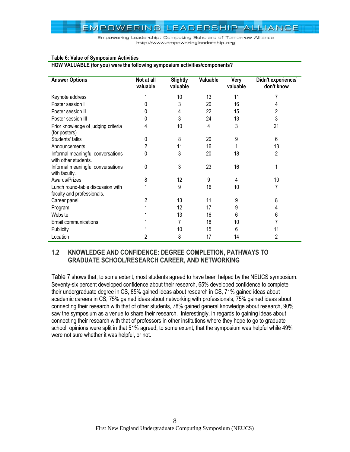Empowering Leadership: Computing Scholars of Tomorrow Alliance http://www.empoweringleadership.org

#### <span id="page-7-1"></span>**Table 6: Value of Symposium Activities**

**HOW VALUABLE (for you) were the following symposium activities/components?**

| <b>Answer Options</b>                              | Not at all<br>valuable | <b>Slightly</b><br>valuable | Valuable | Very<br>valuable | Didn't experience/<br>don't know |
|----------------------------------------------------|------------------------|-----------------------------|----------|------------------|----------------------------------|
| Keynote address                                    |                        | 10                          | 13       | 11               | 7                                |
| Poster session I                                   |                        | 3                           | 20       | 16               | 4                                |
| Poster session II                                  |                        | 4                           | 22       | 15               | 2                                |
| Poster session III                                 |                        | 3                           | 24       | 13               | 3                                |
| Prior knowledge of judging criteria                | 4                      | 10                          | 4        | 3                | 21                               |
| (for posters)                                      |                        |                             |          |                  |                                  |
| Students' talks                                    | 0                      | 8                           | 20       | 9                | 6                                |
| Announcements                                      | 2                      | 11                          | 16       |                  | 13                               |
| Informal meaningful conversations                  | 0                      | 3                           | 20       | 18               | 2                                |
| with other students.                               |                        |                             |          |                  |                                  |
| Informal meaningful conversations<br>with faculty. | 0                      | 3                           | 23       | 16               |                                  |
| Awards/Prizes                                      | 8                      | 12                          | 9        | 4                | 10                               |
| Lunch round-table discussion with                  |                        | 9                           | 16       | 10               |                                  |
| faculty and professionals.                         |                        |                             |          |                  |                                  |
| Career panel                                       |                        | 13                          | 11       | 9                | 8                                |
| Program                                            |                        | 12                          | 17       | 9                | 4                                |
| Website                                            |                        | 13                          | 16       | 6                | 6                                |
| Email communications                               |                        | 7                           | 18       | 10               |                                  |
| Publicity                                          |                        | 10                          | 15       | 6                | 11                               |
| Location                                           |                        | 8                           | 17       | 14               | 2                                |

#### <span id="page-7-0"></span>**1.2 KNOWLEDGE AND CONFIDENCE: DEGREE COMPLETION, PATHWAYS TO GRADUATE SCHOOL/RESEARCH CAREER, AND NETWORKING**

[Table 7](#page-8-0) shows that, to some extent, most students agreed to have been helped by the NEUCS symposium. Seventy-six percent developed confidence about their research, 65% developed confidence to complete their undergraduate degree in CS, 85% gained ideas about research in CS, 71% gained ideas about academic careers in CS, 75% gained ideas about networking with professionals, 75% gained ideas about connecting their research with that of other students, 78% gained general knowledge about research, 90% saw the symposium as a venue to share their research. Interestingly, in regards to gaining ideas about connecting their research with that of professors in other institutions where they hope to go to graduate school, opinions were split in that 51% agreed, to some extent, that the symposium was helpful while 49% were not sure whether it was helpful, or not.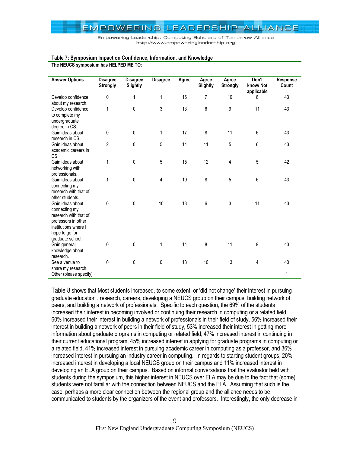

| <b>Answer Options</b>                                                                                                                           | <b>Disagree</b><br><b>Strongly</b> | <b>Disagree</b><br>Slightly | <b>Disagree</b> | Agree | Agree<br>Slightly | Agree<br><b>Strongly</b> | Don't<br>know/Not<br>applicable | <b>Response</b><br>Count |
|-------------------------------------------------------------------------------------------------------------------------------------------------|------------------------------------|-----------------------------|-----------------|-------|-------------------|--------------------------|---------------------------------|--------------------------|
| Develop confidence<br>about my research.                                                                                                        | 0                                  | 1                           | 1               | 16    | 7                 | 10                       | 8                               | 43                       |
| Develop confidence<br>to complete my<br>undergraduate<br>degree in CS.                                                                          | 1                                  | 0                           | 3               | 13    | 6                 | 9                        | 11                              | 43                       |
| Gain ideas about<br>research in CS.                                                                                                             | 0                                  | 0                           | 1               | 17    | 8                 | 11                       | $6\,$                           | 43                       |
| Gain ideas about<br>academic careers in<br>CS.                                                                                                  | 2                                  | 0                           | 5               | 14    | 11                | 5                        | 6                               | 43                       |
| Gain ideas about<br>networking with<br>professionals.                                                                                           | 1                                  | 0                           | 5               | 15    | 12                | 4                        | 5                               | 42                       |
| Gain ideas about<br>connecting my<br>research with that of<br>other students.                                                                   | 1                                  | 0                           | 4               | 19    | 8                 | 5                        | 6                               | 43                       |
| Gain ideas about<br>connecting my<br>research with that of<br>professors in other<br>institutions where I<br>hope to go for<br>graduate school. | 0                                  | 0                           | 10              | 13    | 6                 | 3                        | 11                              | 43                       |
| Gain general<br>knowledge about<br>research.                                                                                                    | 0                                  | 0                           | 1               | 14    | 8                 | 11                       | 9                               | 43                       |
| See a venue to<br>share my research.<br>Other (please specify)                                                                                  | 0                                  | 0                           | 0               | 13    | 10                | 13                       | 4                               | 40<br>1                  |

#### <span id="page-8-0"></span>**Table 7: Symposium Impact on Confidence, Information, and Knowledge**

**The NEUCS symposium has HELPED ME TO:**

[Table 8](#page-9-0) shows that Most students increased, to some extent, or 'did not change' their interest in pursuing graduate education , research, careers, developing a NEUCS group on their campus, building network of peers, and building a network of professionals. Specific to each question, the 69% of the students increased their interest in becoming involved or continuing their research in computing or a related field, 60% increased their interest in building a network of professionals in their field of study, 56% increased their interest in building a network of peers in their field of study, 53% increased their interest in getting more information about graduate programs in computing or related field, 47% increased interest in continuing in their current educational program, 45% increased interest in applying for graduate programs in computing or a related field, 41% increased interest in pursuing academic career in computing as a professor, and 36% increased interest in pursuing an industry career in computing. In regards to starting student groups, 20% increased interest in developing a local NEUCS group on their campus and 11% increased interest in developing an ELA group on their campus. Based on informal conversations that the evaluator held with students during the symposium, this higher interest in NEUCS over ELA may be due to the fact that (some) students were not familiar with the connection between NEUCS and the ELA. Assuming that such is the case, perhaps a more clear connection between the regional group and the alliance needs to be communicated to students by the organizers of the event and professors. Interestingly, the only decrease in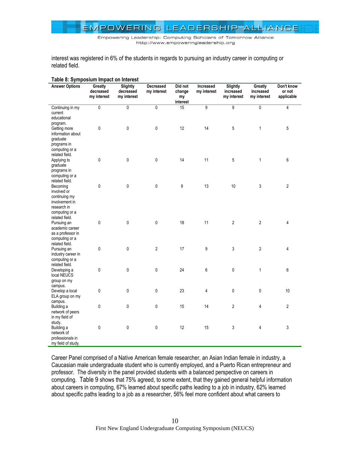

interest was registered in 6% of the students in regards to pursuing an industry career in computing or related field.

<span id="page-9-0"></span>

| Table 8: Symposium Impact on Interest                                                                         |                                     |                                             |                          |                                     |                          |                                      |                                     |                                    |  |  |  |
|---------------------------------------------------------------------------------------------------------------|-------------------------------------|---------------------------------------------|--------------------------|-------------------------------------|--------------------------|--------------------------------------|-------------------------------------|------------------------------------|--|--|--|
| <b>Answer Options</b>                                                                                         | Greatly<br>decreased<br>my interest | <b>Slightly</b><br>decreased<br>my interest | Decreased<br>my interest | Did not<br>change<br>my<br>interest | Increased<br>my interest | Slightly<br>increased<br>my interest | Greatly<br>increased<br>my interest | Don't know<br>or not<br>applicable |  |  |  |
| Continuing in my<br>current<br>educational                                                                    | 0                                   | 0                                           | 0                        | 15                                  | $\overline{9}$           | $\overline{9}$                       | $\mathbf 0$                         | 4                                  |  |  |  |
| program.<br>Getting more<br>information about<br>graduate<br>programs in<br>computing or a                    | 0                                   | 0                                           | 0                        | 12                                  | 14                       | 5                                    | $\mathbf{1}$                        | 5                                  |  |  |  |
| related field.<br>Applying to<br>graduate<br>programs in<br>computing or a                                    | $\mathbf 0$                         | 0                                           | $\pmb{0}$                | 14                                  | 11                       | $5\phantom{.0}$                      | $\mathbf{1}$                        | 6                                  |  |  |  |
| related field.<br>Becoming<br>involved or<br>continuing my<br>involvement in<br>research in<br>computing or a | $\mathbf 0$                         | 0                                           | 0                        | 9                                   | 13                       | 10                                   | 3                                   | $\overline{2}$                     |  |  |  |
| related field.<br>Pursuing an<br>academic career<br>as a professor in<br>computing or a<br>related field.     | $\mathbf 0$                         | 0                                           | 0                        | 18                                  | 11                       | $\overline{2}$                       | $\overline{2}$                      | 4                                  |  |  |  |
| Pursuing an<br>industry career in<br>computing or a<br>related field.                                         | $\mathbf 0$                         | 0                                           | 2                        | 17                                  | 9                        | 3                                    | $\overline{2}$                      | 4                                  |  |  |  |
| Developing a<br>local NEUCS<br>group on my<br>campus.                                                         | $\pmb{0}$                           | 0                                           | 0                        | 24                                  | 6                        | $\pmb{0}$                            | 1                                   | $\,6\,$                            |  |  |  |
| Develop a local<br>ELA group on my<br>campus.                                                                 | $\pmb{0}$                           | 0                                           | 0                        | 23                                  | 4                        | 0                                    | 0                                   | 10                                 |  |  |  |
| Building a<br>network of peers<br>in my field of<br>study.                                                    | 0                                   | 0                                           | 0                        | 15                                  | 14                       | $\overline{2}$                       | 4                                   | $\overline{2}$                     |  |  |  |
| Building a<br>network of<br>professionals in<br>my field of study.                                            | $\pmb{0}$                           | 0                                           | $\pmb{0}$                | 12                                  | 15                       | 3                                    | 4                                   | 3                                  |  |  |  |

Career Panel comprised of a Native American female researcher, an Asian Indian female in industry, a Caucasian male undergraduate student who is currently employed, and a Puerto Rican entrepreneur and professor. The diversity in the panel provided students with a balanced perspective on careers in computing. [Table 9](#page-10-0) shows that 75% agreed, to some extent, that they gained general helpful information about careers in computing, 67% learned about specific paths leading to a job in industry, 62% learned about specific paths leading to a job as a researcher, 56% feel more confident about what careers to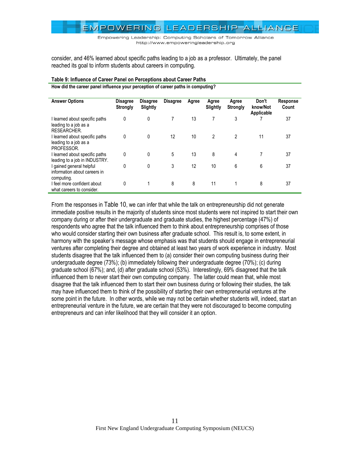Empowering Leadership: Computing Scholars of Tomorrow Alliance http://www.empoweringleadership.org

consider, and 46% learned about specific paths leading to a job as a professor. Ultimately, the panel reached its goal to inform students about careers in computing.

| How ald the career parier imported your perception of career paths in computing a |                                    |                                    |                 |       |                   |                   |                                 |                   |  |  |
|-----------------------------------------------------------------------------------|------------------------------------|------------------------------------|-----------------|-------|-------------------|-------------------|---------------------------------|-------------------|--|--|
| <b>Answer Options</b>                                                             | <b>Disagree</b><br><b>Strongly</b> | <b>Disagree</b><br><b>Slightly</b> | <b>Disagree</b> | Agree | Agree<br>Slightly | Agree<br>Strongly | Don't<br>know/Not<br>Applicable | Response<br>Count |  |  |
| I learned about specific paths<br>leading to a job as a<br><b>RESEARCHER.</b>     | 0                                  | 0                                  |                 | 13    |                   | 3                 |                                 | 37                |  |  |
| I learned about specific paths<br>leading to a job as a<br>PROFESSOR.             | 0                                  | 0                                  | 12              | 10    | 2                 | 2                 | 11                              | 37                |  |  |
| I learned about specific paths<br>leading to a job in INDUSTRY.                   | 0                                  | 0                                  | 5               | 13    | 8                 | 4                 |                                 | 37                |  |  |
| I gained general helpful<br>information about careers in<br>computing.            | 0                                  | 0                                  | 3               | 12    | 10                | 6                 | 6                               | 37                |  |  |
| I feel more confident about<br>what careers to consider.                          | 0                                  | 1                                  | 8               | 8     | 11                | 1                 | 8                               | 37                |  |  |

#### <span id="page-10-0"></span>**Table 9: Influence of Career Panel on Perceptions about Career Paths**

**How did the career panel influence your perception of career paths in computing?**

From the responses in [Table 10](#page-11-0), we can infer that while the talk on entrepreneurship did not generate immediate positive results in the majority of students since most students were not inspired to start their own company during or after their undergraduate and graduate studies, the highest percentage (47%) of respondents who agree that the talk influenced them to think about entrepreneurship comprises of those who would consider starting their own business after graduate school. This result is, to some extent, in harmony with the speaker's message whose emphasis was that students should engage in entrepreneurial ventures after completing their degree and obtained at least two years of work experience in industry. Most students disagree that the talk influenced them to (a) consider their own computing business during their undergraduate degree (73%); (b) immediately following their undergraduate degree (70%); (c) during graduate school (67%); and, (d) after graduate school (53%). Interestingly, 69% disagreed that the talk influenced them to never start their own computing company. The latter could mean that, while most disagree that the talk influenced them to start their own business during or following their studies, the talk may have influenced them to think of the possibility of starting their own entrepreneurial ventures at the some point in the future. In other words, while we may not be certain whether students will, indeed, start an entrepreneurial venture in the future, we are certain that they were not discouraged to become computing entrepreneurs and can infer likelihood that they will consider it an option.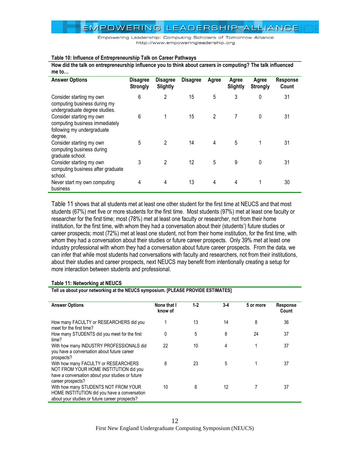#### <span id="page-11-0"></span>**Table 10: Influence of Entrepreneurship Talk on Career Pathways**

**How did the talk on entrepreneurship influence you to think about careers in computing? The talk influenced me to…** 

| <b>Answer Options</b>                                                                               | <b>Disagree</b><br><b>Strongly</b> | <b>Disagree</b><br>Slightly | <b>Disagree</b> | Agree          | Agree<br><b>Slightly</b> | Agree<br><b>Strongly</b> | <b>Response</b><br>Count |
|-----------------------------------------------------------------------------------------------------|------------------------------------|-----------------------------|-----------------|----------------|--------------------------|--------------------------|--------------------------|
| Consider starting my own<br>computing business during my<br>undergraduate degree studies.           | 6                                  | 2                           | 15              | 5              | 3                        | 0                        | 31                       |
| Consider starting my own<br>computing business immediately<br>following my undergraduate<br>degree. | 6                                  |                             | 15              | $\overline{2}$ | 7                        | $\Omega$                 | 31                       |
| Consider starting my own<br>computing business during<br>graduate school.                           | 5                                  | 2                           | 14              | 4              | 5                        |                          | 31                       |
| Consider starting my own<br>computing business after graduate<br>school.                            | 3                                  | $\mathfrak{p}$              | 12              | 5              | 9                        | $\Omega$                 | 31                       |
| Never start my own computing<br>business                                                            | 4                                  | 4                           | 13              | 4              | 4                        |                          | 30                       |

[Table 11](#page-11-1) shows that all students met at least one other student for the first time at NEUCS and that most students (67%) met five or more students for the first time. Most students (97%) met at least one faculty or researcher for the first time; most (78%) met at least one faculty or researcher, not from their home institution, for the first time, with whom they had a conversation about their (students') future studies or career prospects; most (72%) met at least one student, not from their home institution, for the first time, with whom they had a conversation about their studies or future career prospects. Only 39% met at least one industry professional with whom they had a conversation about future career prospects. From the data, we can infer that while most students had conversations with faculty and researchers, not from their institutions, about their studies and career prospects, next NEUCS may benefit from intentionally creating a setup for more interaction between students and professional.

#### <span id="page-11-1"></span>**Table 11: Networking at NEUCS**

**Tell us about your networking at the NEUCS symposium. [PLEASE PROVIDE ESTIMATES]**

| <b>Answer Options</b>                                                                                                                                   | None that I<br>know of | $1 - 2$ | $3-4$ | 5 or more | <b>Response</b><br>Count |
|---------------------------------------------------------------------------------------------------------------------------------------------------------|------------------------|---------|-------|-----------|--------------------------|
| How many FACULTY or RESEARCHERS did you<br>meet for the first time?                                                                                     |                        | 13      | 14    | 8         | 36                       |
| How many STUDENTS did you meet for the first<br>time?                                                                                                   | 0                      | 5       | 8     | 24        | 37                       |
| With how many INDUSTRY PROFESSIONALS did<br>you have a conversation about future career<br>prospects?                                                   | 22                     | 10      | 4     |           | 37                       |
| With how many FACULTY or RESEARCHERS<br>NOT FROM YOUR HOME INSTITUTION did you<br>have a conversation about your studies or future<br>career prospects? | 8                      | 23      | 5     | 4         | 37                       |
| With how many STUDENTS NOT FROM YOUR<br>HOME INSTITUTION did you have a conversation<br>about your studies or future career prospects?                  | 10                     | 8       | 12    |           | 37                       |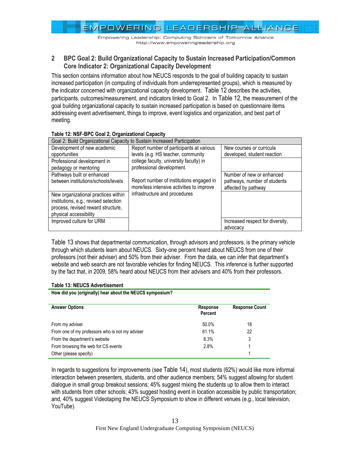EMPOWERING LEADERSHIP ALLIANCE

#### <span id="page-12-0"></span>**2 BPC Goal 2: Build Organizational Capacity to Sustain Increased Participation/Common Core Indicator 2: Organizational Capacity Development**

This section contains information about how NEUCS responds to the goal of building capacity to sustain increased participation (in computing of individuals from underrepresented groups), which is measured by the indicator concerned with organizational capacity development. [Table 12](#page-12-1) describes the activities, participants, outcomes/measurement, and indicators linked to Goal 2. In [Table 12](#page-12-1), the measurement of the goal building organizational capacity to sustain increased participation is based on questionnaire items addressing event advertisement, things to improve, event logistics and organization, and best part of meeting.

| Goal 2: Build Organizational Capacity to Sustain Increased Participation                                                                     |                                                                                                                                                        |                                                                                  |  |  |  |
|----------------------------------------------------------------------------------------------------------------------------------------------|--------------------------------------------------------------------------------------------------------------------------------------------------------|----------------------------------------------------------------------------------|--|--|--|
| Development of new academic<br>opportunities<br>Professional development in<br>pedagogy or mentoring                                         | Report number of participants at various<br>levels (e.g. HS teacher, community<br>college faculty, university faculty) in<br>professional development. | New courses or curricula<br>developed, student reaction                          |  |  |  |
| Pathways built or enhanced<br>between institutions/schools/levels                                                                            | Report number of institutions engaged in<br>more/less intensive activities to improve                                                                  | Number of new or enhanced<br>pathways, number of students<br>affected by pathway |  |  |  |
| New organizational practices within<br>institutions, e.g., revised selection<br>process, revised reward structure,<br>physical accessibility | infrastructure and procedures                                                                                                                          |                                                                                  |  |  |  |
| Improved culture for URM                                                                                                                     |                                                                                                                                                        | Increased respect for diversity,<br>advocacy                                     |  |  |  |

#### <span id="page-12-1"></span>**Table 12: NSF-BPC Goal 2, Organizational Capacity**

[Table 13](#page-12-2) shows that departmental communication, through advisors and professors, is the primary vehicle through which students learn about NEUCS. Sixty-one percent heard about NEUCS from one of their professors (not their adviser) and 50% from their adviser. From the data, we can infer that department's website and web search are not favorable vehicles for finding NEUCS. This inference is further supported by the fact that, in 2009, 58% heard about NEUCS from their advisers and 40% from their professors.

#### <span id="page-12-2"></span>**Table 13: NEUCS Advertisement**

**How did you (originally) hear about the NEUCS symposium?**

| <b>Answer Options</b>                           | Response<br><b>Percent</b> | <b>Response Count</b> |
|-------------------------------------------------|----------------------------|-----------------------|
| From my adviser                                 | 50.0%                      | 18                    |
| From one of my professors who is not my adviser | 61.1%                      | 22                    |
| From the department's website                   | 8.3%                       | 3                     |
| From browsing the web for CS events             | 2.8%                       |                       |
| Other (please specify)                          |                            |                       |

In regards to suggestions for improvements (see [Table 14](#page-13-1)), most students (62%) would like more informal interaction between presenters, students, and other audience members; 54% suggest allowing for student dialogue in small group breakout sessions; 45% suggest mixing the students up to allow them to interact with students from other schools; 43% suggest hosting event in location accessible by public transportation; and, 40% suggest Videotaping the NEUCS Symposium to show in different venues (e.g., local television, YouTube).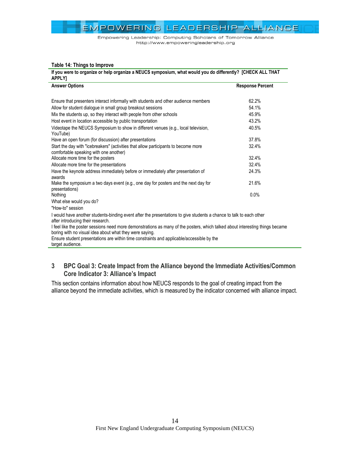Empowering Leadership: Computing Scholars of Tomorrow Alliance http://www.empoweringleadership.org

<span id="page-13-1"></span>

| If you were to organize or help organize a NEUCS symposium, what would you do differently? [CHECK ALL THAT<br><b>APPLY1</b>                                                              |                         |  |  |
|------------------------------------------------------------------------------------------------------------------------------------------------------------------------------------------|-------------------------|--|--|
| <b>Answer Options</b>                                                                                                                                                                    | <b>Response Percent</b> |  |  |
|                                                                                                                                                                                          |                         |  |  |
| Ensure that presenters interact informally with students and other audience members                                                                                                      | 62.2%                   |  |  |
| Allow for student dialogue in small group breakout sessions                                                                                                                              | 54.1%                   |  |  |
| Mix the students up, so they interact with people from other schools                                                                                                                     | 45.9%                   |  |  |
| Host event in location accessible by public transportation                                                                                                                               | 43.2%                   |  |  |
| Videotape the NEUCS Symposium to show in different venues (e.g., local television,<br>YouTube)                                                                                           | 40.5%                   |  |  |
| Have an open forum (for discussion) after presentations                                                                                                                                  | 37.8%                   |  |  |
| Start the day with "icebreakers" (activities that allow participants to become more<br>comfortable speaking with one another)                                                            | 32.4%                   |  |  |
| Allocate more time for the posters                                                                                                                                                       | 32.4%                   |  |  |
| Allocate more time for the presentations                                                                                                                                                 | 32.4%                   |  |  |
| Have the keynote address immediately before or immediately after presentation of<br>awards                                                                                               | 24.3%                   |  |  |
| Make the symposium a two days event (e.g., one day for posters and the next day for<br>presentations)                                                                                    | 21.6%                   |  |  |
| Nothing                                                                                                                                                                                  | 0.0%                    |  |  |
| What else would you do?                                                                                                                                                                  |                         |  |  |
| "How-to" session                                                                                                                                                                         |                         |  |  |
| I would have another students-binding event after the presentations to give students a chance to talk to each other<br>after introducing their research.                                 |                         |  |  |
| I feel like the poster sessions need more demonstrations as many of the posters, which talked about interesting things became<br>boring with no visual idea about what they were saying. |                         |  |  |
| Ensure student presentations are within time constraints and applicable/accessible by the<br>target audience.                                                                            |                         |  |  |

### <span id="page-13-0"></span>**3 BPC Goal 3: Create Impact from the Alliance beyond the Immediate Activities/Common Core Indicator 3: Alliance's Impact**

This section contains information about how NEUCS responds to the goal of creating impact from the alliance beyond the immediate activities, which is measured by the indicator concerned with alliance impact.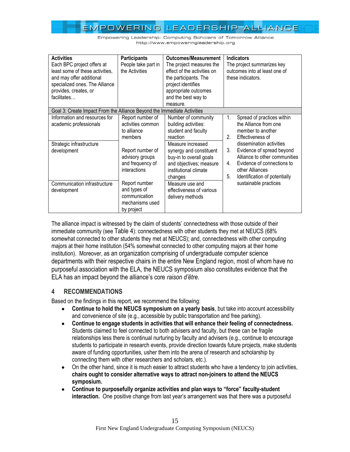

| <b>Activities</b><br>Each BPC project offers at<br>least some of these activities,<br>and may offer additional<br>specialized ones. The Alliance<br>provides, creates, or<br>facilitates | <b>Participants</b><br>People take part in<br>the Activities                                                                               | <b>Outcomes/Measurement</b><br>The project measures the<br>effect of the activities on<br>the participants. The<br>project identifies<br>appropriate outcomes<br>and the best way to<br>measure.                         | <b>Indicators</b><br>The project summarizes key<br>outcomes into at least one of<br>these indicators.                                                                                                                                                                                                  |  |  |  |
|------------------------------------------------------------------------------------------------------------------------------------------------------------------------------------------|--------------------------------------------------------------------------------------------------------------------------------------------|--------------------------------------------------------------------------------------------------------------------------------------------------------------------------------------------------------------------------|--------------------------------------------------------------------------------------------------------------------------------------------------------------------------------------------------------------------------------------------------------------------------------------------------------|--|--|--|
| Goal 3: Create Impact From the Alliance Beyond the Immediate Activities                                                                                                                  |                                                                                                                                            |                                                                                                                                                                                                                          |                                                                                                                                                                                                                                                                                                        |  |  |  |
| Information and resources for<br>academic professionals<br>Strategic infrastructure<br>development                                                                                       | Report number of<br>activities common<br>to alliance<br>members<br>Report number of<br>advisory groups<br>and frequency of<br>interactions | Number of community<br>building activities:<br>student and faculty<br>reaction<br>Measure increased<br>synergy and constituent<br>buy-in to overall goals<br>and objectives; measure<br>institutional climate<br>changes | 1.<br>Spread of practices within<br>the Alliance from one<br>member to another<br>2.<br>Effectiveness of<br>dissemination activities<br>Evidence of spread beyond<br>3.<br>Alliance to other communities<br>Evidence of connections to<br>4.<br>other Alliances<br>Identification of potentially<br>5. |  |  |  |
| Communication infrastructure<br>development                                                                                                                                              | Report number<br>and types of<br>communication<br>mechanisms used<br>by project                                                            | Measure use and<br>effectiveness of various<br>delivery methods                                                                                                                                                          | sustainable practices                                                                                                                                                                                                                                                                                  |  |  |  |

The alliance impact is witnessed by the claim of students' connectedness with those outside of their immediate community (see [Table 4](#page-5-0)): connectedness with other students they met at NEUCS (68% somewhat connected to other students they met at NEUCS); and, connectedness with other computing majors at their home institution (54% somewhat connected to other computing majors at their home institution). Moreover, as an organization comprising of undergraduate computer science departments with their respective chairs in the entire New England region, most of whom have no purposeful association with the ELA, the NEUCS symposium also constitutes evidence that the ELA has an impact beyond the alliance's core *raison d'être*.

### <span id="page-14-0"></span>**4 RECOMMENDATIONS**

Based on the findings in this report, we recommend the following:

- **Continue to hold the NEUCS symposium on a yearly basis**, but take into account accessibility and convenience of site (e.g., accessible by public transportation and free parking).
- **Continue to engage students in activities that will enhance their feeling of connectedness.**  $\bullet$ Students claimed to feel connected to both advisers and faculty, but these can be fragile relationships less there is continual nurturing by faculty and advisers (e.g., continue to encourage students to participate in research events, provide direction towards future projects, make students aware of funding opportunities, usher them into the arena of research and scholarship by connecting them with other researchers and scholars, etc.).
- On the other hand, since it is much easier to attract students who have a tendency to join activities, **chairs ought to consider alternative ways to attract non-joiners to attend the NEUCS symposium.**
- **Continue to purposefully organize activities and plan ways to "force" faculty-student interaction.** One positive change from last year's arrangement was that there was a purposeful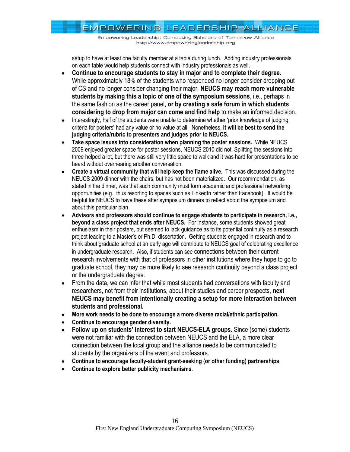Empowering Leadership: Computing Scholars of Tomorrow Alliance http://www.empoweringleadership.org

setup to have at least one faculty member at a table during lunch. Adding industry professionals on each table would help students connect with industry professionals as well.

- **Continue to encourage students to stay in major and to complete their degree.**  $\bullet$ While approximately 18% of the students who responded no longer consider dropping out of CS and no longer consider changing their major, **NEUCS may reach more vulnerable students by making this a topic of one of the symposium sessions**, i.e., perhaps in the same fashion as the career panel, **or by creating a safe forum in which students considering to drop from major can come and find help** to make an informed decision.
- Interestingly, half of the students were unable to determine whether 'prior knowledge of judging  $\bullet$ criteria for posters' had any value or no value at all. Nonetheless, **it will be best to send the judging criteria/rubric to presenters and judges prior to NEUCS.**
- **Take space issues into consideration when planning the poster sessions.** While NEUCS 2009 enjoyed greater space for poster sessions, NEUCS 2010 did not. Splitting the sessions into three helped a lot, but there was still very little space to walk and it was hard for presentations to be heard without overhearing another conversation.
- **Create a virtual community that will help keep the flame alive.** This was discussed during the  $\bullet$ NEUCS 2009 dinner with the chairs, but has not been materialized. Our recommendation, as stated in the dinner, was that such community must form academic and professional networking opportunities (e.g., thus resorting to spaces such as LinkedIn rather than Facebook). It would be helpful for NEUCS to have these after symposium dinners to reflect about the symposium and about this particular plan.
- **Advisors and professors should continue to engage students to participate in research, i.e.,**  $\bullet$ **beyond a class project that ends after NEUCS.** For instance, some students showed great enthusiasm in their posters, but seemed to lack guidance as to its potential continuity as a research project leading to a Master's or Ph.D. dissertation. Getting students engaged in research and to think about graduate school at an early age will contribute to NEUCS goal of celebrating excellence in undergraduate research. Also, if students can see connections between their current research involvements with that of professors in other institutions where they hope to go to graduate school, they may be more likely to see research continuity beyond a class project or the undergraduate degree.
- From the data, we can infer that while most students had conversations with faculty and  $\bullet$ researchers, not from their institutions, about their studies and career prospects, **next NEUCS may benefit from intentionally creating a setup for more interaction between students and professional.**
- **More work needs to be done to encourage a more diverse racial/ethnic participation.**
- **Continue to encourage gender diversity.**
- **Follow up on students' interest to start NEUCS-ELA groups.** Since (some) students were not familiar with the connection between NEUCS and the ELA, a more clear connection between the local group and the alliance needs to be communicated to students by the organizers of the event and professors.
- **Continue to encourage faculty-student grant-seeking (or other funding) partnerships**.
- **Continue to explore better publicity mechanisms**.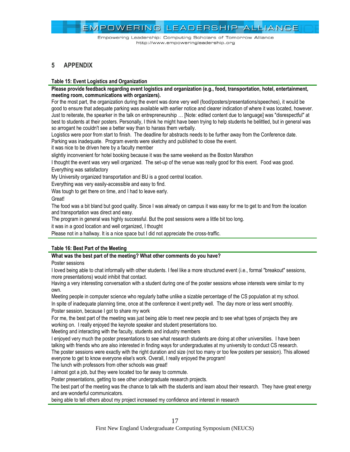Empowering Leadership: Computing Scholars of Tomorrow Alliance http://www.empoweringleadership.org

### <span id="page-16-0"></span>**5 APPENDIX**

#### **Table 15: Event Logistics and Organization**

**Please provide feedback regarding event logistics and organization (e.g., food, transportation, hotel, entertainment, meeting room, communications with organizers).**

For the most part, the organization during the event was done very well (food/posters/presentations/speeches), it would be good to ensure that adequate parking was available with earlier notice and clearer indication of where it was located, however. Just to reiterate, the spearker in the talk on entrepreneurship … [Note: edited content due to language] was "disrespectful" at best to students at their posters. Personally, I think he might have been trying to help students he belittled, but in general was so arrogant he couldn't see a better way than to harass them verbally.

Logistics were poor from start to finish. The deadline for abstracts needs to be further away from the Conference date. Parking was inadequate. Program events were sketchy and published to close the event.

it was nice to be driven here by a faculty member

slightly inconvenient for hotel booking because it was the same weekend as the Boston Marathon

I thought the event was very well organized. The set-up of the venue was really good for this event. Food was good. Everything was satisfactory

My University organized transportation and BU is a good central location.

Everything was very easily-accessible and easy to find.

Was tough to get there on time, and I had to leave early.

Great!

The food was a bit bland but good quality. Since I was already on campus it was easy for me to get to and from the location and transportation was direct and easy.

The program in general was highly successful. But the post sessions were a little bit too long.

it was in a good location and well organized, I thought

Please not in a hallway. It is a nice space but I did not appreciate the cross-traffic.

#### **Table 16: Best Part of the Meeting**

#### **What was the best part of the meeting? What other comments do you have?**

Poster sessions

I loved being able to chat informally with other students. I feel like a more structured event (i.e., formal "breakout" sessions, more presentations) would inhibit that contact.

Having a very interesting conversation with a student during one of the poster sessions whose interests were similar to my own.

Meeting people in computer science who regularly bathe unlike a sizable percentage of the CS population at my school. In spite of inadequate planning time, once at the conference it went pretty well. The day more or less went smoothly.

Poster session, because I got to share my work

For me, the best part of the meeting was just being able to meet new people and to see what types of projects they are working on. I really enjoyed the keynote speaker and student presentations too.

Meeting and interacting with the faculty, students and industry members

I enjoyed very much the poster presentations to see what research students are doing at other universities. I have been talking with friends who are also interested in finding ways for undergraduates at my university to conduct CS research. The poster sessions were exactly with the right duration and size (not too many or too few posters per session). This allowed everyone to get to know everyone else's work. Overall, I really enjoyed the program!

The lunch with professors from other schools was great!

I almost got a job, but they were located too far away to commute.

Poster presentations, getting to see other undergraduate research projects.

The best part of the meeting was the chance to talk with the students and learn about their research. They have great energy and are wonderful communicators.

being able to tell others about my project increased my confidence and interest in research